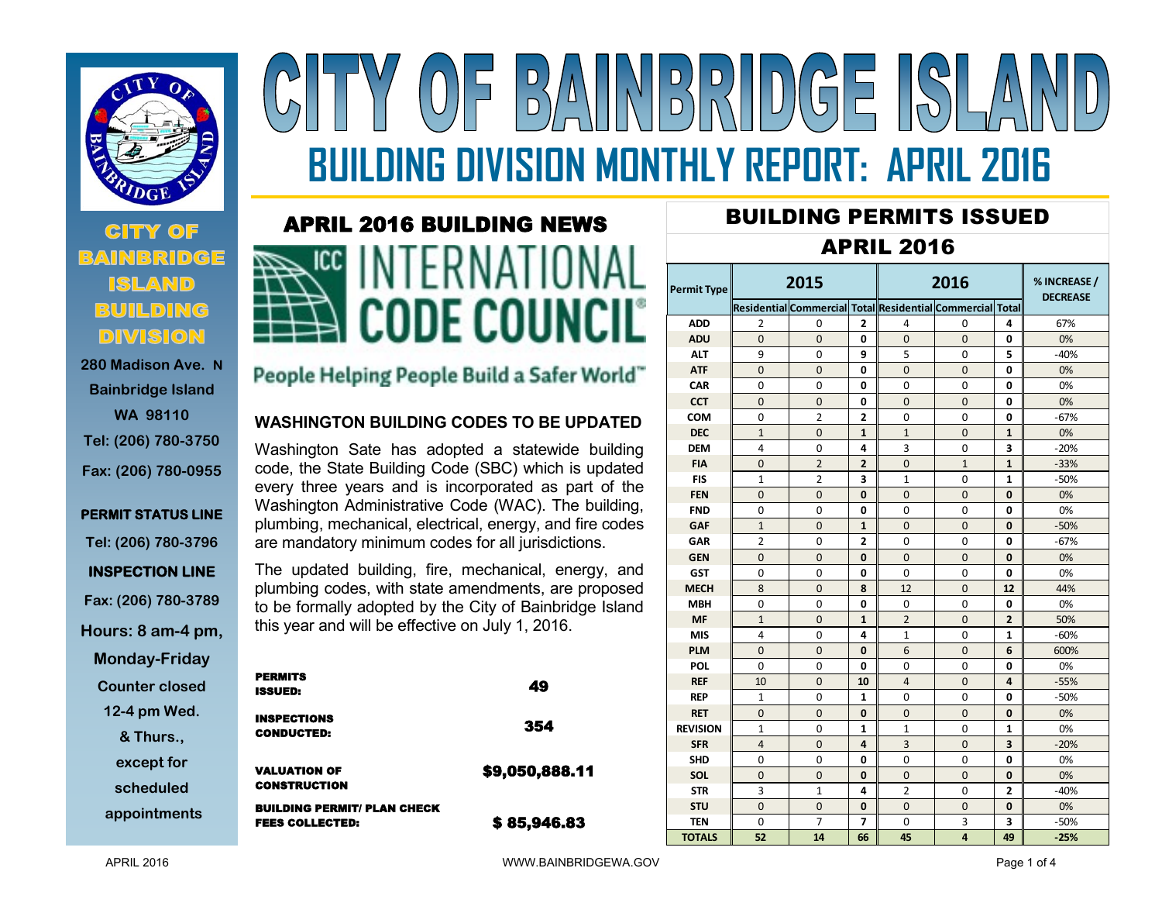

## **CITY OF BUILDING DIVISION**

**280 Madison Ave. N Bainbridge Island WA 98110 Tel: (206) 780-3750 Fax: (206) 780-0955** 

## **PERMIT STATUS LINE Tel: (206) 780-3796 INSPECTION LINE Fax: (206) 780-3789 Hours: 8 am-4 pm, Monday-Friday Counter closed**

**12-4 pm Wed.** 

**& Thurs.,** 

**except for** 

**scheduled** 

**appointments**

# $\left\| \left\| \left[ \left[ \begin{array}{c} D \\ D \end{array} \right] \right] \right\|_2 \right\|_2$  $\frac{D}{D}$ **BUILDING DIVISION MONTHLY REPORT: APRIL 2016**

# APRIL 2016 BUILDING NEWS



## People Helping People Build a Safer World"

#### **WASHINGTON BUILDING CODES TO BE UPDATED**

Washington Sate has adopted a statewide building code, the State Building Code (SBC) which is updated every three years and is incorporated as part of the Washington Administrative Code (WAC). The building, plumbing, mechanical, electrical, energy, and fire codes are mandatory minimum codes for all jurisdictions.

The updated building, fire, mechanical, energy, and plumbing codes, with state amendments, are proposed to be formally adopted by the City of Bainbridge Island this year and will be effective on July 1, 2016.

| <b>PERMITS</b><br><b>ISSUED:</b>                             | 49             |
|--------------------------------------------------------------|----------------|
| <b>INSPECTIONS</b><br><b>CONDUCTED:</b>                      | 354            |
| <b>VALUATION OF</b><br><b>CONSTRUCTION</b>                   | \$9,050,888.11 |
| <b>BUILDING PERMIT/ PLAN CHECK</b><br><b>FEES COLLECTED:</b> | \$85,946.83    |

## BUILDING PERMITS ISSUED

### APRIL 2016

| <b>Permit Type</b> | 2015           |                                                           |                | 2016           |                |                | % INCREASE /<br><b>DECREASE</b> |  |
|--------------------|----------------|-----------------------------------------------------------|----------------|----------------|----------------|----------------|---------------------------------|--|
|                    |                | Residential Commercial Total Residential Commercial Total |                |                |                |                |                                 |  |
| <b>ADD</b>         | $\overline{2}$ | 0                                                         | 2              | 4              | 0              | 4              | 67%                             |  |
| <b>ADU</b>         | $\Omega$       | $\Omega$                                                  | 0              | $\Omega$       | $\Omega$       | 0              | 0%                              |  |
| <b>ALT</b>         | 9              | 0                                                         | 9              | 5              | $\Omega$       | 5              | $-40%$                          |  |
| <b>ATF</b>         | $\overline{0}$ | $\overline{0}$                                            | 0              | $\overline{0}$ | $\overline{0}$ | 0              | 0%                              |  |
| <b>CAR</b>         | 0              | 0                                                         | 0              | 0              | 0              | 0              | 0%                              |  |
| <b>CCT</b>         | $\Omega$       | $\Omega$                                                  | 0              | $\Omega$       | $\Omega$       | 0              | 0%                              |  |
| <b>COM</b>         | 0              | 2                                                         | $\overline{2}$ | $\Omega$       | $\Omega$       | 0              | $-67%$                          |  |
| <b>DEC</b>         | $\mathbf{1}$   | $\Omega$                                                  | 1              | $\mathbf{1}$   | $\Omega$       | 1              | 0%                              |  |
| <b>DEM</b>         | 4              | 0                                                         | 4              | 3              | 0              | 3              | $-20%$                          |  |
| <b>FIA</b>         | $\mathbf 0$    | $\overline{2}$                                            | $\overline{2}$ | 0              | $\mathbf{1}$   | $\mathbf{1}$   | $-33%$                          |  |
| <b>FIS</b>         | $\mathbf{1}$   | $\overline{2}$                                            | 3              | $\mathbf{1}$   | $\Omega$       | $\mathbf{1}$   | $-50%$                          |  |
| <b>FEN</b>         | 0              | 0                                                         | 0              | 0              | $\mathbf{0}$   | 0              | 0%                              |  |
| <b>FND</b>         | 0              | 0                                                         | 0              | 0              | 0              | 0              | 0%                              |  |
| <b>GAF</b>         | $\mathbf{1}$   | 0                                                         | 1              | 0              | $\mathbf 0$    | 0              | $-50%$                          |  |
| GAR                | $\overline{2}$ | 0                                                         | 2              | $\Omega$       | $\Omega$       | 0              | $-67%$                          |  |
| <b>GEN</b>         | $\overline{0}$ | $\overline{0}$                                            | 0              | $\Omega$       | 0              | 0              | 0%                              |  |
| <b>GST</b>         | 0              | 0                                                         | 0              | 0              | 0              | 0              | 0%                              |  |
| <b>MECH</b>        | 8              | 0                                                         | 8              | 12             | $\overline{0}$ | 12             | 44%                             |  |
| <b>MBH</b>         | $\Omega$       | $\Omega$                                                  | O              | $\Omega$       | $\Omega$       | 0              | 0%                              |  |
| <b>MF</b>          | $\mathbf{1}$   | $\Omega$                                                  | $\mathbf{1}$   | $\overline{2}$ | $\Omega$       | $\overline{2}$ | 50%                             |  |
| <b>MIS</b>         | 4              | $\Omega$                                                  | 4              | $\mathbf{1}$   | $\Omega$       | 1              | $-60%$                          |  |
| <b>PLM</b>         | $\Omega$       | 0                                                         | 0              | 6              | $\Omega$       | 6              | 600%                            |  |
| POL                | 0              | 0                                                         | 0              | 0              | 0              | 0              | 0%                              |  |
| <b>REF</b>         | 10             | $\Omega$                                                  | 10             | $\overline{4}$ | $\Omega$       | 4              | $-55%$                          |  |
| <b>REP</b>         | $\mathbf{1}$   | 0                                                         | $\mathbf{1}$   | $\Omega$       | $\mathbf 0$    | 0              | $-50%$                          |  |
| <b>RET</b>         | $\overline{0}$ | $\overline{0}$                                            | 0              | $\overline{0}$ | $\overline{0}$ | 0              | 0%                              |  |
| <b>REVISION</b>    | $\mathbf{1}$   | 0                                                         | $\mathbf{1}$   | 1              | 0              | 1              | 0%                              |  |
| <b>SFR</b>         | $\overline{a}$ | $\Omega$                                                  | 4              | $\overline{3}$ | $\Omega$       | 3              | $-20%$                          |  |
| <b>SHD</b>         | 0              | 0                                                         | 0              | 0              | 0              | 0              | 0%                              |  |
| <b>SOL</b>         | $\overline{0}$ | $\overline{0}$                                            | 0              | $\mathbf 0$    | $\mathbf 0$    | 0              | 0%                              |  |
| <b>STR</b>         | 3              | $\mathbf{1}$                                              | 4              | $\overline{2}$ | 0              | 2              | $-40%$                          |  |
| <b>STU</b>         | $\overline{0}$ | $\overline{0}$                                            | 0              | $\overline{0}$ | $\overline{0}$ | 0              | 0%                              |  |
| <b>TEN</b>         | 0              | 7                                                         | 7              | 0              | 3              | 3              | $-50%$                          |  |
| <b>TOTALS</b>      | 52             | 14                                                        | 66             | 45             | 4              | 49             | $-25%$                          |  |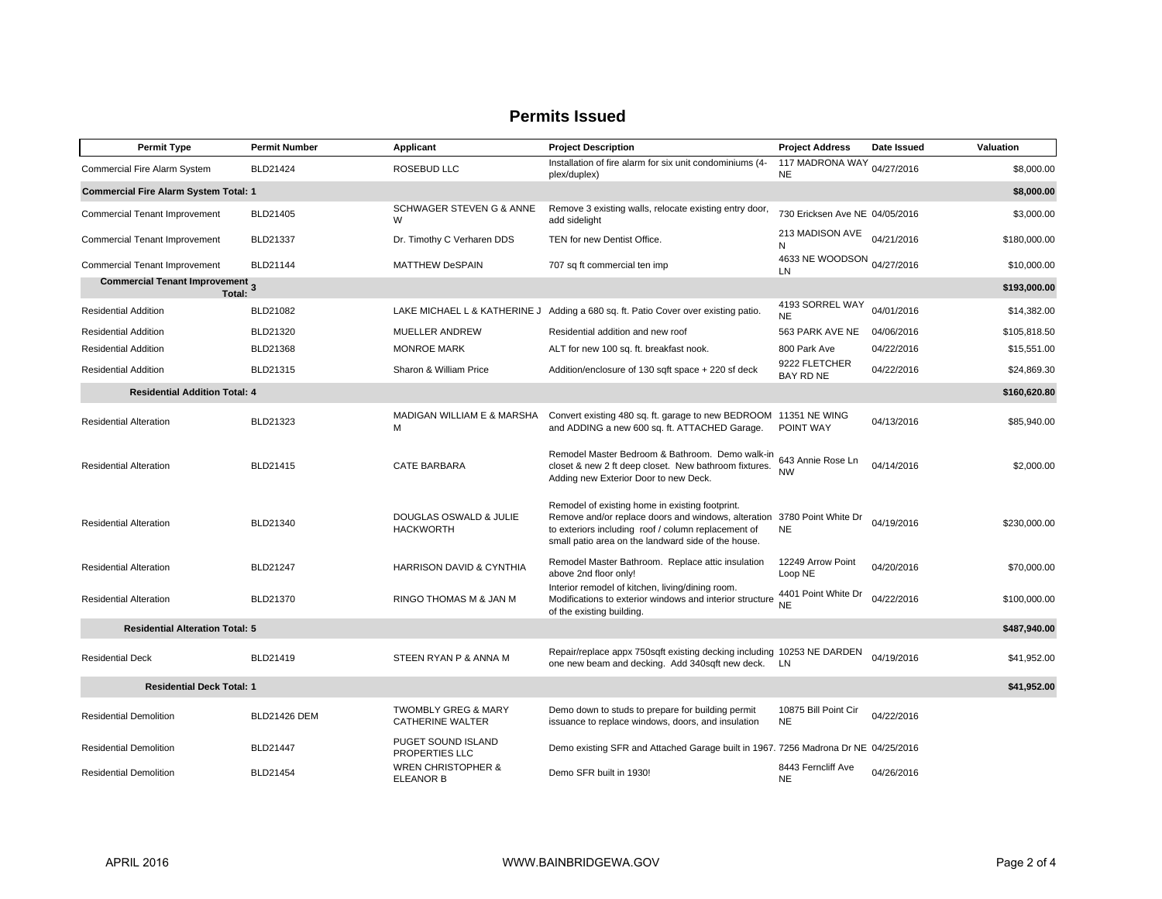#### **Permits Issued**

| <b>Permit Type</b>                              | <b>Permit Number</b> | Applicant                                          | <b>Project Description</b>                                                                                                                                                                                           | <b>Project Address</b>            | Date Issued | Valuation    |  |
|-------------------------------------------------|----------------------|----------------------------------------------------|----------------------------------------------------------------------------------------------------------------------------------------------------------------------------------------------------------------------|-----------------------------------|-------------|--------------|--|
| <b>Commercial Fire Alarm System</b>             | <b>BLD21424</b>      | <b>ROSEBUD LLC</b>                                 | Installation of fire alarm for six unit condominiums (4-<br>plex/duplex)                                                                                                                                             | 117 MADRONA WAY<br><b>NE</b>      | 04/27/2016  | \$8,000.00   |  |
| <b>Commercial Fire Alarm System Total: 1</b>    |                      |                                                    |                                                                                                                                                                                                                      |                                   |             | \$8,000.00   |  |
| Commercial Tenant Improvement                   | BLD21405             | SCHWAGER STEVEN G & ANNE<br>W                      | Remove 3 existing walls, relocate existing entry door,<br>add sidelight                                                                                                                                              | 730 Ericksen Ave NE 04/05/2016    |             | \$3,000.00   |  |
| <b>Commercial Tenant Improvement</b>            | BLD21337             | Dr. Timothy C Verharen DDS                         | TEN for new Dentist Office.                                                                                                                                                                                          | 213 MADISON AVE<br>N              | 04/21/2016  | \$180,000.00 |  |
| <b>Commercial Tenant Improvement</b>            | <b>BLD21144</b>      | <b>MATTHEW DeSPAIN</b>                             | 707 sq ft commercial ten imp                                                                                                                                                                                         | 4633 NE WOODSON 04/27/2016<br>LN  |             | \$10,000.00  |  |
| Commercial Tenant Improvement 3<br>Total:       |                      |                                                    |                                                                                                                                                                                                                      |                                   |             | \$193,000.00 |  |
| <b>Residential Addition</b>                     | BLD21082             |                                                    | LAKE MICHAEL L & KATHERINE J Adding a 680 sq. ft. Patio Cover over existing patio.                                                                                                                                   | 4193 SORREL WAY<br><b>NE</b>      | 04/01/2016  | \$14,382.00  |  |
| <b>Residential Addition</b>                     | BLD21320             | MUELLER ANDREW                                     | Residential addition and new roof                                                                                                                                                                                    | 563 PARK AVE NE                   | 04/06/2016  | \$105,818.50 |  |
| <b>Residential Addition</b>                     | BLD21368             | <b>MONROE MARK</b>                                 | ALT for new 100 sq. ft. breakfast nook.                                                                                                                                                                              | 800 Park Ave                      | 04/22/2016  | \$15,551.00  |  |
| <b>Residential Addition</b>                     | BLD21315             | Sharon & William Price                             | Addition/enclosure of 130 sqft space + 220 sf deck                                                                                                                                                                   | 9222 FLETCHER<br><b>BAY RD NE</b> | 04/22/2016  | \$24,869.30  |  |
| <b>Residential Addition Total: 4</b>            |                      |                                                    |                                                                                                                                                                                                                      |                                   |             | \$160,620.80 |  |
| <b>Residential Alteration</b>                   | BLD21323             | MADIGAN WILLIAM E & MARSHA<br>M                    | Convert existing 480 sq. ft. garage to new BEDROOM 11351 NE WING<br>and ADDING a new 600 sq. ft. ATTACHED Garage.                                                                                                    | POINT WAY                         | 04/13/2016  | \$85,940.00  |  |
| <b>Residential Alteration</b>                   | BLD21415             | <b>CATE BARBARA</b>                                | Remodel Master Bedroom & Bathroom. Demo walk-in<br>closet & new 2 ft deep closet. New bathroom fixtures.<br>Adding new Exterior Door to new Deck.                                                                    | 643 Annie Rose Ln<br><b>NW</b>    | 04/14/2016  | \$2,000.00   |  |
| <b>Residential Alteration</b>                   | BLD21340             | DOUGLAS OSWALD & JULIE<br><b>HACKWORTH</b>         | Remodel of existing home in existing footprint.<br>Remove and/or replace doors and windows, alteration<br>to exteriors including roof / column replacement of<br>small patio area on the landward side of the house. | 3780 Point White Dr<br><b>NE</b>  | 04/19/2016  | \$230,000.00 |  |
| <b>Residential Alteration</b>                   | <b>BLD21247</b>      | <b>HARRISON DAVID &amp; CYNTHIA</b>                | Remodel Master Bathroom. Replace attic insulation<br>above 2nd floor only!                                                                                                                                           | 12249 Arrow Point<br>Loop NE      | 04/20/2016  | \$70,000.00  |  |
| <b>Residential Alteration</b>                   | BLD21370             | RINGO THOMAS M & JAN M                             | Interior remodel of kitchen, living/dining room.<br>Modifications to exterior windows and interior structure<br>of the existing building.                                                                            | 4401 Point White Dr<br><b>NE</b>  | 04/22/2016  | \$100,000.00 |  |
| <b>Residential Alteration Total: 5</b>          |                      |                                                    |                                                                                                                                                                                                                      |                                   |             | \$487,940.00 |  |
| <b>Residential Deck</b>                         | BLD21419             | STEEN RYAN P & ANNA M                              | Repair/replace appx 750sqft existing decking including 10253 NE DARDEN<br>one new beam and decking. Add 340sqft new deck. LN                                                                                         |                                   | 04/19/2016  | \$41,952.00  |  |
| <b>Residential Deck Total: 1</b><br>\$41,952.00 |                      |                                                    |                                                                                                                                                                                                                      |                                   |             |              |  |
| <b>Residential Demolition</b>                   | <b>BLD21426 DEM</b>  | <b>TWOMBLY GREG &amp; MARY</b><br>CATHERINE WALTER | Demo down to studs to prepare for building permit<br>issuance to replace windows, doors, and insulation                                                                                                              | 10875 Bill Point Cir<br><b>NE</b> | 04/22/2016  |              |  |
| <b>Residential Demolition</b>                   | BLD21447             | PUGET SOUND ISLAND<br>PROPERTIES LLC               | Demo existing SFR and Attached Garage built in 1967. 7256 Madrona Dr NE 04/25/2016                                                                                                                                   |                                   |             |              |  |
| <b>Residential Demolition</b>                   | BLD21454             | <b>WREN CHRISTOPHER &amp;</b><br><b>ELEANOR B</b>  | Demo SFR built in 1930!                                                                                                                                                                                              | 8443 Ferncliff Ave<br><b>NE</b>   | 04/26/2016  |              |  |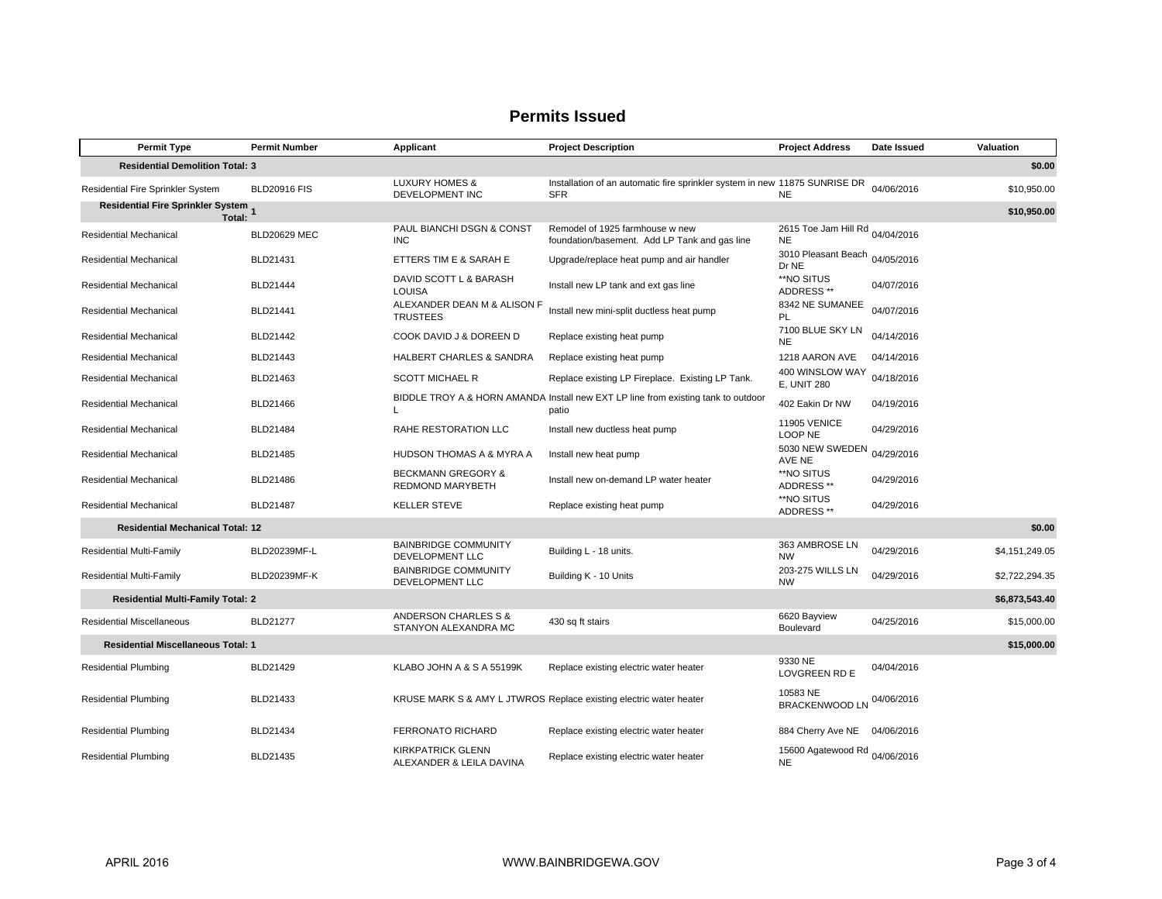#### **Permits Issued**

| <b>Permit Type</b>                                           | <b>Permit Number</b> | Applicant                                                | <b>Project Description</b>                                                                 | <b>Project Address</b>                       | Date Issued | Valuation      |  |  |
|--------------------------------------------------------------|----------------------|----------------------------------------------------------|--------------------------------------------------------------------------------------------|----------------------------------------------|-------------|----------------|--|--|
| <b>Residential Demolition Total: 3</b><br>\$0.00             |                      |                                                          |                                                                                            |                                              |             |                |  |  |
| Residential Fire Sprinkler System                            | <b>BLD20916 FIS</b>  | <b>LUXURY HOMES &amp;</b><br>DEVELOPMENT INC             | Installation of an automatic fire sprinkler system in new 11875 SUNRISE DR<br><b>SFR</b>   | <b>NE</b>                                    | 04/06/2016  | \$10,950.00    |  |  |
| Residential Fire Sprinkler System 1<br>\$10,950.00<br>Total: |                      |                                                          |                                                                                            |                                              |             |                |  |  |
| Residential Mechanical                                       | <b>BLD20629 MEC</b>  | PAUL BIANCHI DSGN & CONST<br><b>INC</b>                  | Remodel of 1925 farmhouse w new<br>foundation/basement. Add LP Tank and gas line           | 2615 Toe Jam Hill Rd 04/04/2016<br><b>NE</b> |             |                |  |  |
| Residential Mechanical                                       | BLD21431             | ETTERS TIM E & SARAH E                                   | Upgrade/replace heat pump and air handler                                                  | 3010 Pleasant Beach 04/05/2016<br>Dr NE      |             |                |  |  |
| Residential Mechanical                                       | BLD21444             | DAVID SCOTT L & BARASH<br><b>LOUISA</b>                  | Install new LP tank and ext gas line                                                       | **NO SITUS<br>ADDRESS **                     | 04/07/2016  |                |  |  |
| Residential Mechanical                                       | BLD21441             | ALEXANDER DEAN M & ALISON F<br><b>TRUSTEES</b>           | Install new mini-split ductless heat pump                                                  | 8342 NE SUMANEE<br>PI                        | 04/07/2016  |                |  |  |
| Residential Mechanical                                       | BLD21442             | COOK DAVID J & DOREEN D                                  | Replace existing heat pump                                                                 | 7100 BLUE SKY LN<br><b>NE</b>                | 04/14/2016  |                |  |  |
| Residential Mechanical                                       | BLD21443             | HALBERT CHARLES & SANDRA                                 | Replace existing heat pump                                                                 | 1218 AARON AVE                               | 04/14/2016  |                |  |  |
| Residential Mechanical                                       | BLD21463             | <b>SCOTT MICHAEL R</b>                                   | Replace existing LP Fireplace. Existing LP Tank.                                           | 400 WINSLOW WAY<br><b>E, UNIT 280</b>        | 04/18/2016  |                |  |  |
| Residential Mechanical                                       | BLD21466             | L                                                        | BIDDLE TROY A & HORN AMANDA Install new EXT LP line from existing tank to outdoor<br>patio | 402 Eakin Dr NW                              | 04/19/2016  |                |  |  |
| Residential Mechanical                                       | BLD21484             | RAHE RESTORATION LLC                                     | Install new ductless heat pump                                                             | <b>11905 VENICE</b><br>LOOP NE               | 04/29/2016  |                |  |  |
| Residential Mechanical                                       | BLD21485             | HUDSON THOMAS A & MYRA A                                 | Install new heat pump                                                                      | 5030 NEW SWEDEN<br>AVE NE                    | 04/29/2016  |                |  |  |
| Residential Mechanical                                       | BLD21486             | <b>BECKMANN GREGORY &amp;</b><br><b>REDMOND MARYBETH</b> | Install new on-demand LP water heater                                                      | **NO SITUS<br>ADDRESS **                     | 04/29/2016  |                |  |  |
| Residential Mechanical                                       | BLD21487             | <b>KELLER STEVE</b>                                      | Replace existing heat pump                                                                 | **NO SITUS<br>ADDRESS **                     | 04/29/2016  |                |  |  |
| <b>Residential Mechanical Total: 12</b>                      |                      |                                                          |                                                                                            |                                              |             | \$0.00         |  |  |
| <b>Residential Multi-Family</b>                              | BLD20239MF-L         | <b>BAINBRIDGE COMMUNITY</b><br><b>DEVELOPMENT LLC</b>    | Building L - 18 units.                                                                     | 363 AMBROSE LN<br><b>NW</b>                  | 04/29/2016  | \$4,151,249.05 |  |  |
| <b>Residential Multi-Family</b>                              | BLD20239MF-K         | <b>BAINBRIDGE COMMUNITY</b><br>DEVELOPMENT LLC           | Building K - 10 Units                                                                      | 203-275 WILLS LN<br><b>NW</b>                | 04/29/2016  | \$2,722,294.35 |  |  |
| <b>Residential Multi-Family Total: 2</b>                     |                      |                                                          |                                                                                            |                                              |             | \$6,873,543.40 |  |  |
| <b>Residential Miscellaneous</b>                             | <b>BLD21277</b>      | ANDERSON CHARLES S &<br>STANYON ALEXANDRA MC             | 430 sq ft stairs                                                                           | 6620 Bayview<br>Boulevard                    | 04/25/2016  | \$15,000.00    |  |  |
| <b>Residential Miscellaneous Total: 1</b><br>\$15,000.00     |                      |                                                          |                                                                                            |                                              |             |                |  |  |
| <b>Residential Plumbing</b>                                  | BLD21429             | KLABO JOHN A & S A 55199K                                | Replace existing electric water heater                                                     | 9330 NE<br><b>LOVGREEN RD E</b>              | 04/04/2016  |                |  |  |
| <b>Residential Plumbing</b>                                  | BLD21433             |                                                          | KRUSE MARK S & AMY L JTWROS Replace existing electric water heater                         | 10583 NE<br><b>BRACKENWOOD LN</b>            | 04/06/2016  |                |  |  |
| <b>Residential Plumbing</b>                                  | BLD21434             | <b>FERRONATO RICHARD</b>                                 | Replace existing electric water heater                                                     | 884 Cherry Ave NE                            | 04/06/2016  |                |  |  |
| <b>Residential Plumbing</b>                                  | BLD21435             | <b>KIRKPATRICK GLENN</b><br>ALEXANDER & LEILA DAVINA     | Replace existing electric water heater                                                     | 15600 Agatewood Rd 04/06/2016<br><b>NE</b>   |             |                |  |  |